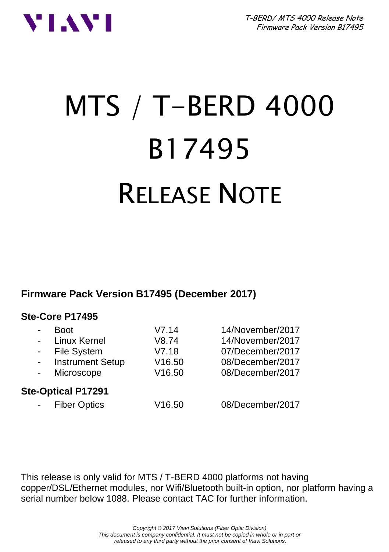



# MTS / T-BERD 4000 B17495 RELEASE NOTE

**Firmware Pack Version B17495 (December 2017)**

#### **Ste-Core P17495**

| $\overline{\phantom{0}}$<br>$\blacksquare$<br>$\sim$ | <b>Boot</b><br>Linux Kernel<br>File System<br><b>Instrument Setup</b> | V7.14<br>V8.74<br>V7.18<br>V16.50 | 14/November/2017<br>14/November/2017<br>07/December/2017<br>08/December/2017 |  |
|------------------------------------------------------|-----------------------------------------------------------------------|-----------------------------------|------------------------------------------------------------------------------|--|
|                                                      | Microscope                                                            | V16.50                            | 08/December/2017                                                             |  |
| <b>Ste-Optical P17291</b>                            |                                                                       |                                   |                                                                              |  |
| $\blacksquare$                                       | <b>Fiber Optics</b>                                                   | V16.50                            | 08/December/2017                                                             |  |

This release is only valid for MTS / T-BERD 4000 platforms not having copper/DSL/Ethernet modules, nor Wifi/Bluetooth built-in option, nor platform having a serial number below 1088. Please contact TAC for further information.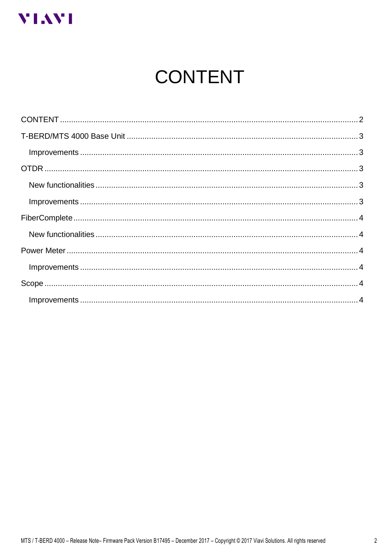<span id="page-1-0"></span>

# **CONTENT**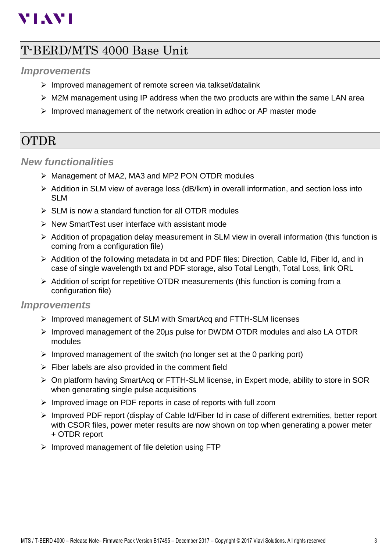# **VIAVI**

# <span id="page-2-0"></span>T-BERD/MTS 4000 Base Unit

#### <span id="page-2-1"></span>*Improvements*

- ➢ Improved management of remote screen via talkset/datalink
- $\triangleright$  M2M management using IP address when the two products are within the same LAN area
- $\triangleright$  Improved management of the network creation in adhoc or AP master mode

## <span id="page-2-2"></span>OTDR

#### <span id="page-2-3"></span>*New functionalities*

- ➢ Management of MA2, MA3 and MP2 PON OTDR modules
- ➢ Addition in SLM view of average loss (dB/lkm) in overall information, and section loss into SLM
- ➢ SLM is now a standard function for all OTDR modules
- ➢ New SmartTest user interface with assistant mode
- ➢ Addition of propagation delay measurement in SLM view in overall information (this function is coming from a configuration file)
- $\triangleright$  Addition of the following metadata in txt and PDF files: Direction, Cable Id, Fiber Id, and in case of single wavelength txt and PDF storage, also Total Length, Total Loss, link ORL
- $\triangleright$  Addition of script for repetitive OTDR measurements (this function is coming from a configuration file)

#### <span id="page-2-4"></span>*Improvements*

- ➢ Improved management of SLM with SmartAcq and FTTH-SLM licenses
- ➢ Improved management of the 20µs pulse for DWDM OTDR modules and also LA OTDR modules
- $\triangleright$  Improved management of the switch (no longer set at the 0 parking port)
- $\triangleright$  Fiber labels are also provided in the comment field
- ➢ On platform having SmartAcq or FTTH-SLM license, in Expert mode, ability to store in SOR when generating single pulse acquisitions
- ➢ Improved image on PDF reports in case of reports with full zoom
- ➢ Improved PDF report (display of Cable Id/Fiber Id in case of different extremities, better report with CSOR files, power meter results are now shown on top when generating a power meter + OTDR report
- $\triangleright$  Improved management of file deletion using FTP